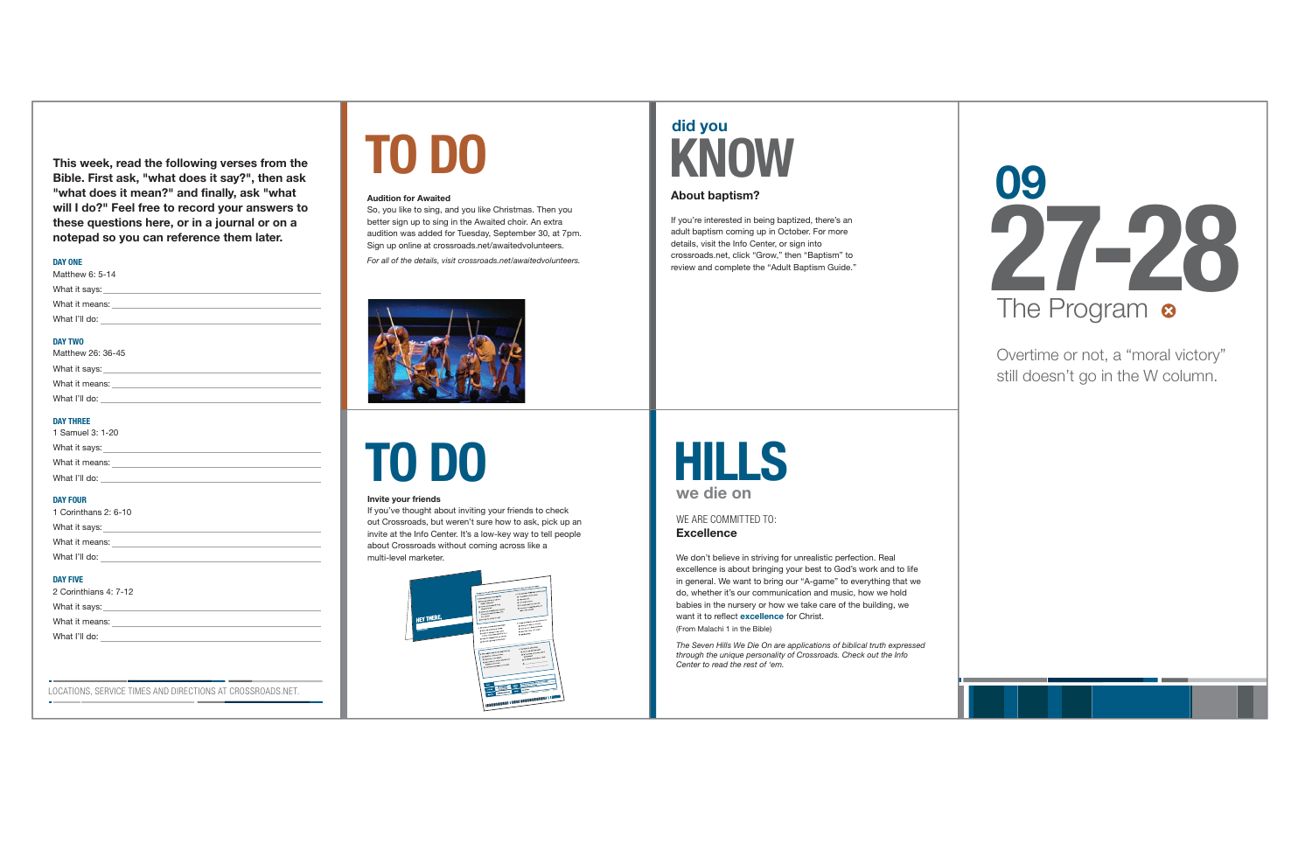We don't believe in striving for unrealistic perfection. Real excellence is about bringing your best to God's work and to life in general. We want to bring our "A-game" to everything that we do, whether it's our communication and music, how we hold babies in the nursery or how we take care of the building, we want it to reflect **excellence** for Christ. (From Malachi 1 in the Bible)

**Excellence** WE ARE COMMITTED TO:

### **HILLS we die on**

*The Seven Hills We Die On are applications of biblical truth expressed through the unique personality of Crossroads. Check out the Info Center to read the rest of 'em.*

**TO DO**

#### **Invite your friends**

If you've thought about inviting your friends to check out Crossroads, but weren't sure how to ask, pick up an invite at the Info Center. It's a low-key way to tell people about Crossroads without coming across like a multi-level marketer.



Overtime or not, a "moral victory" still doesn't go in the W column.



LOCATIONS, SERVICE TIMES AND DIRECTIONS AT CROSSROADS.NET.

If you're interested in being baptized, there's an adult baptism coming up in October. For more details, visit the Info Center, or sign into crossroads.net, click "Grow," then "Baptism" to review and complete the "Adult Baptism Guide."

**This week, read the following verses from the Bible. First ask, "what does it say?", then ask "what does it mean?" and finally, ask "what will I do?" Feel free to record your answers to these questions here, or in a journal or on a notepad so you can reference them later.** 

#### **DAY ONE**

| Matthew 6: 5-14                                                                                                                                                                                                                      |
|--------------------------------------------------------------------------------------------------------------------------------------------------------------------------------------------------------------------------------------|
| What it says: the contract of the contract of the contract of the contract of the contract of the contract of the contract of the contract of the contract of the contract of the contract of the contract of the contract of        |
|                                                                                                                                                                                                                                      |
| What I'll do: <u>with the series of the series of the series of the series of the series of the series of the series of the series of the series of the series of the series of the series of the series of the series of the se</u> |
| - --- -----                                                                                                                                                                                                                          |

#### **DAY TWO**

| Matthew 26: 36-45 |  |
|-------------------|--|
| What it says:     |  |
| What it means:    |  |
| What I'll do:     |  |
|                   |  |

#### **DAY THREE**

| 1 Samuel 3: 1-20 |  |
|------------------|--|
| What it says:    |  |
| What it means:   |  |
| What I'll do:    |  |
|                  |  |

#### **DAY FOUR**

| 1 Corinthans 2: 6-10 |
|----------------------|
| What it says:        |
| What it means:       |
| What I'll do:        |
|                      |

#### **DAY FIVE**

 $\sim$ 

| 2 Corinthians 4: 7-12 |
|-----------------------|
| What it says:         |
| What it means:        |
| What I'll do:         |

# **TO DO**

#### **Audition for Awaited**

So, you like to sing, and you like Christmas. Then you better sign up to sing in the Awaited choir. An extra audition was added for Tuesday, September 30, at 7pm. Sign up online at crossroads.net/awaitedvolunteers.

*For all of the details, visit crossroads.net/awaitedvolunteers.*



## **did you KNOW**

#### **About baptism?**